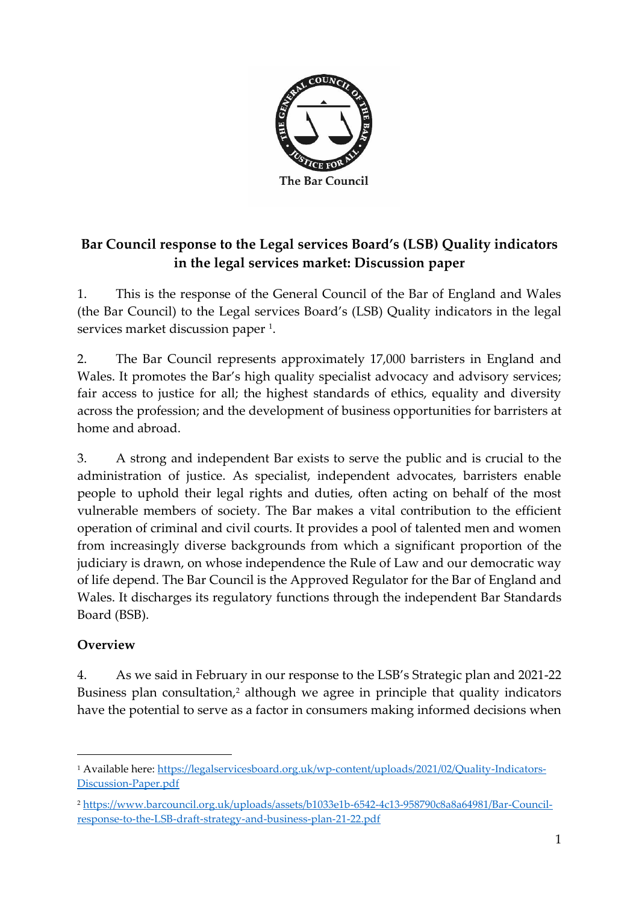

## **Bar Council response to the Legal services Board's (LSB) Quality indicators in the legal services market: Discussion paper**

1. This is the response of the General Council of the Bar of England and Wales (the Bar Council) to the Legal services Board's (LSB) Quality indicators in the legal services market discussion paper <sup>1</sup>.

2. The Bar Council represents approximately 17,000 barristers in England and Wales. It promotes the Bar's high quality specialist advocacy and advisory services; fair access to justice for all; the highest standards of ethics, equality and diversity across the profession; and the development of business opportunities for barristers at home and abroad.

3. A strong and independent Bar exists to serve the public and is crucial to the administration of justice. As specialist, independent advocates, barristers enable people to uphold their legal rights and duties, often acting on behalf of the most vulnerable members of society. The Bar makes a vital contribution to the efficient operation of criminal and civil courts. It provides a pool of talented men and women from increasingly diverse backgrounds from which a significant proportion of the judiciary is drawn, on whose independence the Rule of Law and our democratic way of life depend. The Bar Council is the Approved Regulator for the Bar of England and Wales. It discharges its regulatory functions through the independent Bar Standards Board (BSB).

## **Overview**

4. As we said in February in our response to the LSB's Strategic plan and 2021-22 Business plan consultation,<sup>2</sup> although we agree in principle that quality indicators have the potential to serve as a factor in consumers making informed decisions when

<sup>1</sup> Available here: [https://legalservicesboard.org.uk/wp-content/uploads/2021/02/Quality-Indicators-](https://legalservicesboard.org.uk/wp-content/uploads/2021/02/Quality-Indicators-Discussion-Paper.pdf)[Discussion-Paper.pdf](https://legalservicesboard.org.uk/wp-content/uploads/2021/02/Quality-Indicators-Discussion-Paper.pdf)

<sup>2</sup> [https://www.barcouncil.org.uk/uploads/assets/b1033e1b-6542-4c13-958790c8a8a64981/Bar-Council](https://www.barcouncil.org.uk/uploads/assets/b1033e1b-6542-4c13-958790c8a8a64981/Bar-Council-response-to-the-LSB-draft-strategy-and-business-plan-21-22.pdf)[response-to-the-LSB-draft-strategy-and-business-plan-21-22.pdf](https://www.barcouncil.org.uk/uploads/assets/b1033e1b-6542-4c13-958790c8a8a64981/Bar-Council-response-to-the-LSB-draft-strategy-and-business-plan-21-22.pdf)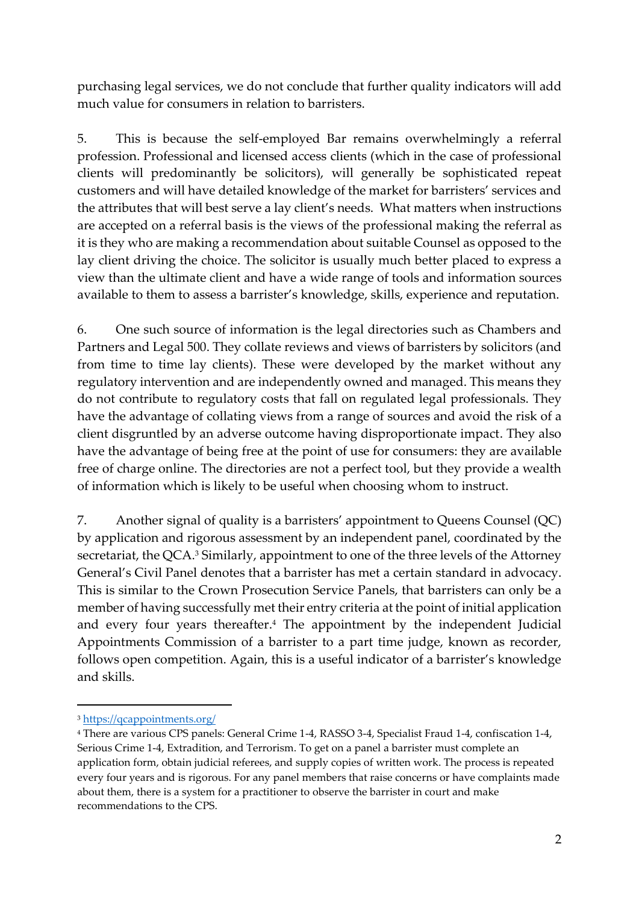purchasing legal services, we do not conclude that further quality indicators will add much value for consumers in relation to barristers.

5. This is because the self-employed Bar remains overwhelmingly a referral profession. Professional and licensed access clients (which in the case of professional clients will predominantly be solicitors), will generally be sophisticated repeat customers and will have detailed knowledge of the market for barristers' services and the attributes that will best serve a lay client's needs. What matters when instructions are accepted on a referral basis is the views of the professional making the referral as it is they who are making a recommendation about suitable Counsel as opposed to the lay client driving the choice. The solicitor is usually much better placed to express a view than the ultimate client and have a wide range of tools and information sources available to them to assess a barrister's knowledge, skills, experience and reputation.

6. One such source of information is the legal directories such as Chambers and Partners and Legal 500. They collate reviews and views of barristers by solicitors (and from time to time lay clients). These were developed by the market without any regulatory intervention and are independently owned and managed. This means they do not contribute to regulatory costs that fall on regulated legal professionals. They have the advantage of collating views from a range of sources and avoid the risk of a client disgruntled by an adverse outcome having disproportionate impact. They also have the advantage of being free at the point of use for consumers: they are available free of charge online. The directories are not a perfect tool, but they provide a wealth of information which is likely to be useful when choosing whom to instruct.

7. Another signal of quality is a barristers' appointment to Queens Counsel (QC) by application and rigorous assessment by an independent panel, coordinated by the secretariat, the QCA.<sup>3</sup> Similarly, appointment to one of the three levels of the Attorney General's Civil Panel denotes that a barrister has met a certain standard in advocacy. This is similar to the Crown Prosecution Service Panels, that barristers can only be a member of having successfully met their entry criteria at the point of initial application and every four years thereafter. <sup>4</sup> The appointment by the independent Judicial Appointments Commission of a barrister to a part time judge, known as recorder, follows open competition. Again, this is a useful indicator of a barrister's knowledge and skills.

<sup>3</sup> <https://qcappointments.org/>

<sup>4</sup> There are various CPS panels: General Crime 1-4, RASSO 3-4, Specialist Fraud 1-4, confiscation 1-4, Serious Crime 1-4, Extradition, and Terrorism. To get on a panel a barrister must complete an application form, obtain judicial referees, and supply copies of written work. The process is repeated every four years and is rigorous. For any panel members that raise concerns or have complaints made about them, there is a system for a practitioner to observe the barrister in court and make recommendations to the CPS.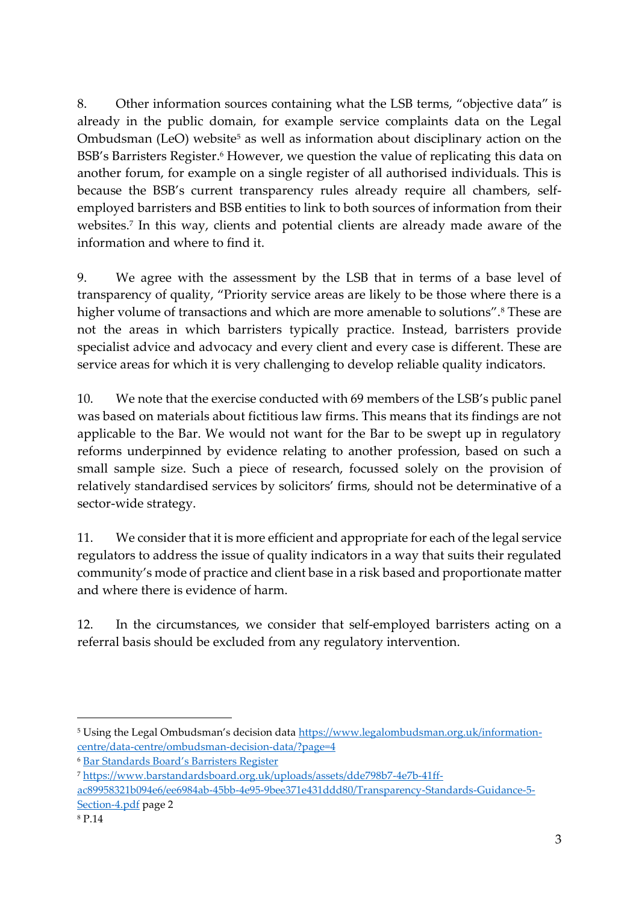8. Other information sources containing what the LSB terms, "objective data" is already in the public domain, for example service complaints data on the Legal Ombudsman (LeO) website<sup>5</sup> as well as information about disciplinary action on the BSB's Barristers Register.<sup>6</sup> However, we question the value of replicating this data on another forum, for example on a single register of all authorised individuals. This is because the BSB's current transparency rules already require all chambers, selfemployed barristers and BSB entities to link to both sources of information from their websites.<sup>7</sup> In this way, clients and potential clients are already made aware of the information and where to find it.

9. We agree with the assessment by the LSB that in terms of a base level of transparency of quality, "Priority service areas are likely to be those where there is a higher volume of transactions and which are more amenable to solutions".<sup>8</sup> These are not the areas in which barristers typically practice. Instead, barristers provide specialist advice and advocacy and every client and every case is different. These are service areas for which it is very challenging to develop reliable quality indicators.

10. We note that the exercise conducted with 69 members of the LSB's public panel was based on materials about fictitious law firms. This means that its findings are not applicable to the Bar. We would not want for the Bar to be swept up in regulatory reforms underpinned by evidence relating to another profession, based on such a small sample size. Such a piece of research, focussed solely on the provision of relatively standardised services by solicitors' firms, should not be determinative of a sector-wide strategy.

11. We consider that it is more efficient and appropriate for each of the legal service regulators to address the issue of quality indicators in a way that suits their regulated community's mode of practice and client base in a risk based and proportionate matter and where there is evidence of harm.

12. In the circumstances, we consider that self-employed barristers acting on a referral basis should be excluded from any regulatory intervention.

<sup>&</sup>lt;sup>5</sup> Using the Legal Ombudsman's decision data [https://www.legalombudsman.org.uk/information](https://www.legalombudsman.org.uk/information-centre/data-centre/ombudsman-decision-data/?page=4)[centre/data-centre/ombudsman-decision-data/?page=4](https://www.legalombudsman.org.uk/information-centre/data-centre/ombudsman-decision-data/?page=4)

<sup>6</sup> B[ar Standards Board's](https://www.barstandardsboard.org.uk/for-the-public/search-a-barristers-record/the-barristers-register.html) Barristers Register

<sup>7</sup> [https://www.barstandardsboard.org.uk/uploads/assets/dde798b7-4e7b-41ff](https://www.barstandardsboard.org.uk/uploads/assets/dde798b7-4e7b-41ff-ac89958321b094e6/ee6984ab-45bb-4e95-9bee371e431ddd80/Transparency-Standards-Guidance-5-Section-4.pdf)[ac89958321b094e6/ee6984ab-45bb-4e95-9bee371e431ddd80/Transparency-Standards-Guidance-5-](https://www.barstandardsboard.org.uk/uploads/assets/dde798b7-4e7b-41ff-ac89958321b094e6/ee6984ab-45bb-4e95-9bee371e431ddd80/Transparency-Standards-Guidance-5-Section-4.pdf) [Section-4.pdf](https://www.barstandardsboard.org.uk/uploads/assets/dde798b7-4e7b-41ff-ac89958321b094e6/ee6984ab-45bb-4e95-9bee371e431ddd80/Transparency-Standards-Guidance-5-Section-4.pdf) page 2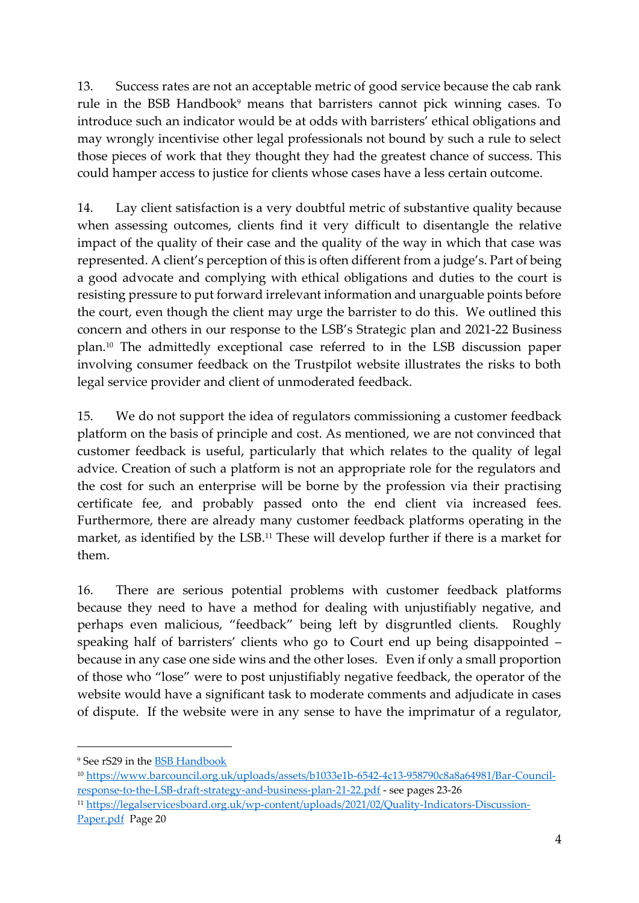13. Success rates are not an acceptable metric of good service because the cab rank rule in the BSB Handbook<sup>9</sup> means that barristers cannot pick winning cases. To introduce such an indicator would be at odds with barristers' ethical obligations and may wrongly incentivise other legal professionals not bound by such a rule to select those pieces of work that they thought they had the greatest chance of success. This could hamper access to justice for clients whose cases have a less certain outcome.

14. Lay client satisfaction is a very doubtful metric of substantive quality because when assessing outcomes, clients find it very difficult to disentangle the relative impact of the quality of their case and the quality of the way in which that case was represented. A client's perception of this is often different from a judge's. Part of being a good advocate and complying with ethical obligations and duties to the court is resisting pressure to put forward irrelevant information and unarguable points before the court, even though the client may urge the barrister to do this. We outlined this concern and others in our response to the LSB's Strategic plan and 2021-22 Business plan.<sup>10</sup> The admittedly exceptional case referred to in the LSB discussion paper involving consumer feedback on the Trustpilot website illustrates the risks to both legal service provider and client of unmoderated feedback.

15. We do not support the idea of regulators commissioning a customer feedback platform on the basis of principle and cost. As mentioned, we are not convinced that customer feedback is useful, particularly that which relates to the quality of legal advice. Creation of such a platform is not an appropriate role for the regulators and the cost for such an enterprise will be borne by the profession via their practising certificate fee, and probably passed onto the end client via increased fees. Furthermore, there are already many customer feedback platforms operating in the market, as identified by the LSB.<sup>11</sup> These will develop further if there is a market for them.

16. There are serious potential problems with customer feedback platforms because they need to have a method for dealing with unjustifiably negative, and perhaps even malicious, "feedback" being left by disgruntled clients. Roughly speaking half of barristers' clients who go to Court end up being disappointed – because in any case one side wins and the other loses. Even if only a small proportion of those who "lose" were to post unjustifiably negative feedback, the operator of the website would have a significant task to moderate comments and adjudicate in cases of dispute. If the website were in any sense to have the imprimatur of a regulator,

<sup>9</sup> See rS29 in the [BSB Handbook](https://www.barstandardsboard.org.uk/uploads/assets/de77ead9-9400-4c9d-bef91353ca9e5345/a9fd5bc5-edb7-4b52-be7f4cbed4560996/second-edition-test31072019104713.pdf)

<sup>10</sup> [https://www.barcouncil.org.uk/uploads/assets/b1033e1b-6542-4c13-958790c8a8a64981/Bar-Council](https://www.barcouncil.org.uk/uploads/assets/b1033e1b-6542-4c13-958790c8a8a64981/Bar-Council-response-to-the-LSB-draft-strategy-and-business-plan-21-22.pdf)[response-to-the-LSB-draft-strategy-and-business-plan-21-22.pdf](https://www.barcouncil.org.uk/uploads/assets/b1033e1b-6542-4c13-958790c8a8a64981/Bar-Council-response-to-the-LSB-draft-strategy-and-business-plan-21-22.pdf) - see pages 23-26

<sup>11</sup> [https://legalservicesboard.org.uk/wp-content/uploads/2021/02/Quality-Indicators-Discussion-](https://legalservicesboard.org.uk/wp-content/uploads/2021/02/Quality-Indicators-Discussion-Paper.pdf)[Paper.pdf](https://legalservicesboard.org.uk/wp-content/uploads/2021/02/Quality-Indicators-Discussion-Paper.pdf) Page 20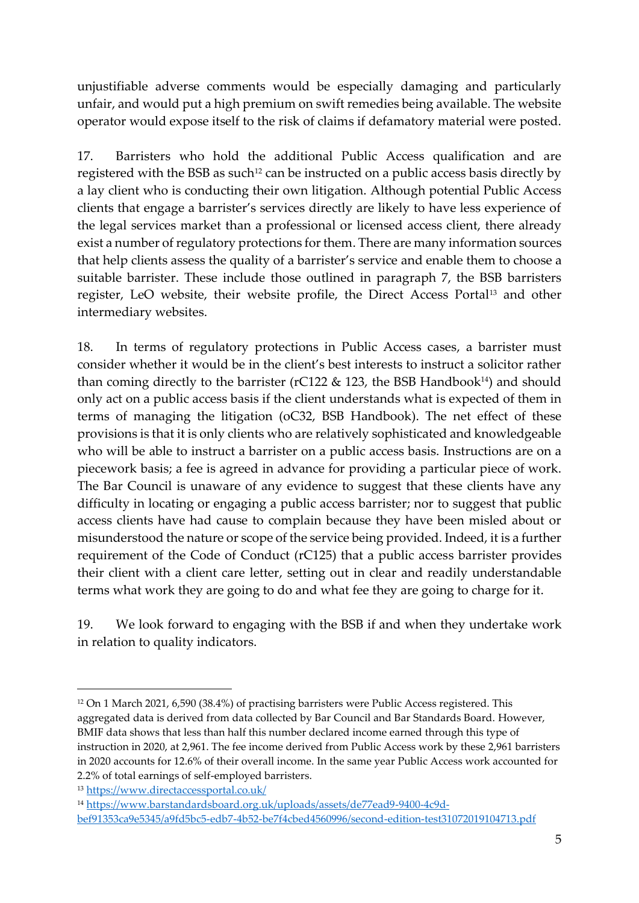unjustifiable adverse comments would be especially damaging and particularly unfair, and would put a high premium on swift remedies being available. The website operator would expose itself to the risk of claims if defamatory material were posted.

17. Barristers who hold the additional Public Access qualification and are registered with the BSB as such<sup>12</sup> can be instructed on a public access basis directly by a lay client who is conducting their own litigation. Although potential Public Access clients that engage a barrister's services directly are likely to have less experience of the legal services market than a professional or licensed access client, there already exist a number of regulatory protections for them. There are many information sources that help clients assess the quality of a barrister's service and enable them to choose a suitable barrister. These include those outlined in paragraph 7, the BSB barristers register, LeO website, their website profile, the Direct Access Portal<sup>13</sup> and other intermediary websites.

18. In terms of regulatory protections in Public Access cases, a barrister must consider whether it would be in the client's best interests to instruct a solicitor rather than coming directly to the barrister (rC122  $\&$  123, the BSB Handbook<sup>14</sup>) and should only act on a public access basis if the client understands what is expected of them in terms of managing the litigation (oC32, BSB Handbook). The net effect of these provisions is that it is only clients who are relatively sophisticated and knowledgeable who will be able to instruct a barrister on a public access basis. Instructions are on a piecework basis; a fee is agreed in advance for providing a particular piece of work. The Bar Council is unaware of any evidence to suggest that these clients have any difficulty in locating or engaging a public access barrister; nor to suggest that public access clients have had cause to complain because they have been misled about or misunderstood the nature or scope of the service being provided. Indeed, it is a further requirement of the Code of Conduct (rC125) that a public access barrister provides their client with a client care letter, setting out in clear and readily understandable terms what work they are going to do and what fee they are going to charge for it.

19. We look forward to engaging with the BSB if and when they undertake work in relation to quality indicators.

<sup>12</sup> On 1 March 2021, 6,590 (38.4%) of practising barristers were Public Access registered. This aggregated data is derived from data collected by Bar Council and Bar Standards Board. However, BMIF data shows that less than half this number declared income earned through this type of instruction in 2020, at 2,961. The fee income derived from Public Access work by these 2,961 barristers in 2020 accounts for 12.6% of their overall income. In the same year Public Access work accounted for 2.2% of total earnings of self-employed barristers.

<sup>13</sup> <https://www.directaccessportal.co.uk/>

<sup>14</sup> [https://www.barstandardsboard.org.uk/uploads/assets/de77ead9-9400-4c9d](https://www.barstandardsboard.org.uk/uploads/assets/de77ead9-9400-4c9d-bef91353ca9e5345/a9fd5bc5-edb7-4b52-be7f4cbed4560996/second-edition-test31072019104713.pdf)[bef91353ca9e5345/a9fd5bc5-edb7-4b52-be7f4cbed4560996/second-edition-test31072019104713.pdf](https://www.barstandardsboard.org.uk/uploads/assets/de77ead9-9400-4c9d-bef91353ca9e5345/a9fd5bc5-edb7-4b52-be7f4cbed4560996/second-edition-test31072019104713.pdf)